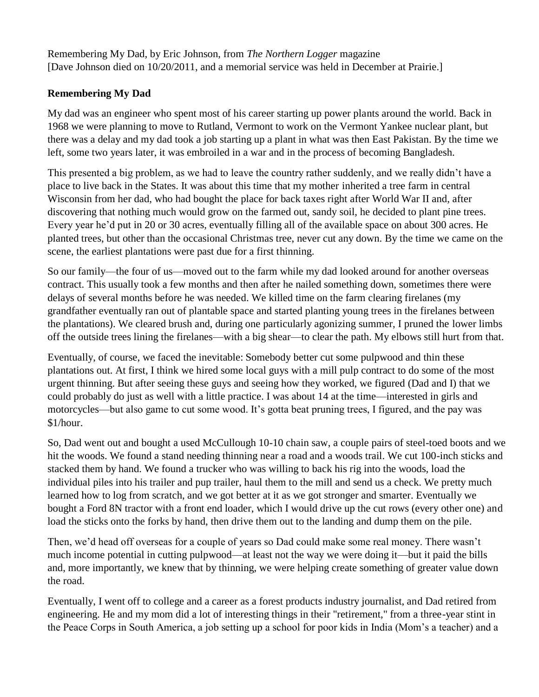Remembering My Dad, by Eric Johnson, from *The Northern Logger* magazine [Dave Johnson died on 10/20/2011, and a memorial service was held in December at Prairie.]

## **Remembering My Dad**

My dad was an engineer who spent most of his career starting up power plants around the world. Back in 1968 we were planning to move to Rutland, Vermont to work on the Vermont Yankee nuclear plant, but there was a delay and my dad took a job starting up a plant in what was then East Pakistan. By the time we left, some two years later, it was embroiled in a war and in the process of becoming Bangladesh.

This presented a big problem, as we had to leave the country rather suddenly, and we really didn't have a place to live back in the States. It was about this time that my mother inherited a tree farm in central Wisconsin from her dad, who had bought the place for back taxes right after World War II and, after discovering that nothing much would grow on the farmed out, sandy soil, he decided to plant pine trees. Every year he'd put in 20 or 30 acres, eventually filling all of the available space on about 300 acres. He planted trees, but other than the occasional Christmas tree, never cut any down. By the time we came on the scene, the earliest plantations were past due for a first thinning.

So our family—the four of us—moved out to the farm while my dad looked around for another overseas contract. This usually took a few months and then after he nailed something down, sometimes there were delays of several months before he was needed. We killed time on the farm clearing firelanes (my grandfather eventually ran out of plantable space and started planting young trees in the firelanes between the plantations). We cleared brush and, during one particularly agonizing summer, I pruned the lower limbs off the outside trees lining the firelanes—with a big shear—to clear the path. My elbows still hurt from that.

Eventually, of course, we faced the inevitable: Somebody better cut some pulpwood and thin these plantations out. At first, I think we hired some local guys with a mill pulp contract to do some of the most urgent thinning. But after seeing these guys and seeing how they worked, we figured (Dad and I) that we could probably do just as well with a little practice. I was about 14 at the time—interested in girls and motorcycles—but also game to cut some wood. It's gotta beat pruning trees, I figured, and the pay was \$1/hour.

So, Dad went out and bought a used McCullough 10-10 chain saw, a couple pairs of steel-toed boots and we hit the woods. We found a stand needing thinning near a road and a woods trail. We cut 100-inch sticks and stacked them by hand. We found a trucker who was willing to back his rig into the woods, load the individual piles into his trailer and pup trailer, haul them to the mill and send us a check. We pretty much learned how to log from scratch, and we got better at it as we got stronger and smarter. Eventually we bought a Ford 8N tractor with a front end loader, which I would drive up the cut rows (every other one) and load the sticks onto the forks by hand, then drive them out to the landing and dump them on the pile.

Then, we'd head off overseas for a couple of years so Dad could make some real money. There wasn't much income potential in cutting pulpwood—at least not the way we were doing it—but it paid the bills and, more importantly, we knew that by thinning, we were helping create something of greater value down the road.

Eventually, I went off to college and a career as a forest products industry journalist, and Dad retired from engineering. He and my mom did a lot of interesting things in their "retirement," from a three-year stint in the Peace Corps in South America, a job setting up a school for poor kids in India (Mom's a teacher) and a